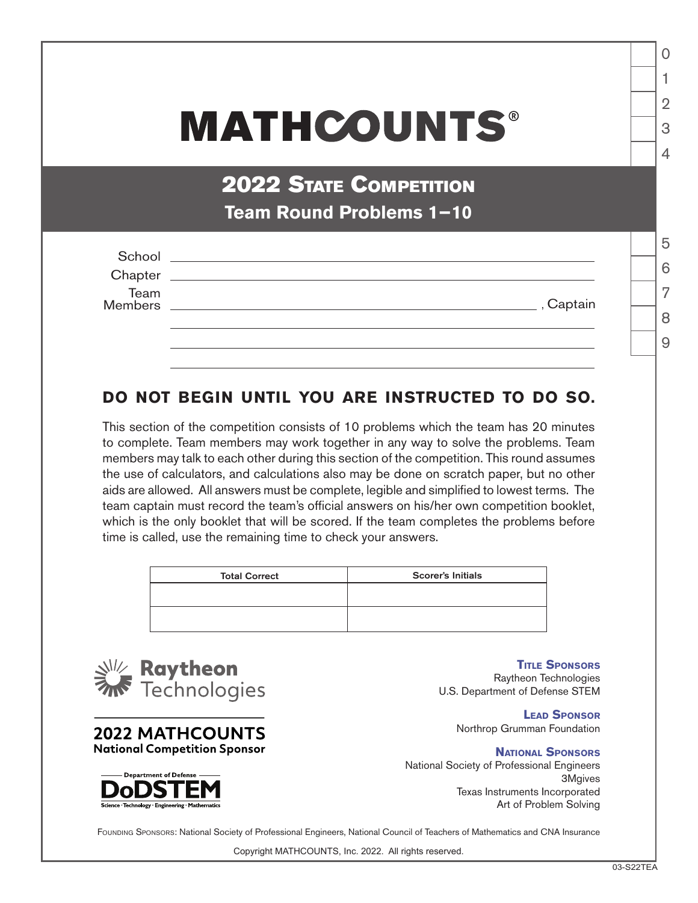## **MATHCOUNTS®**

## **2022 STATE COMPETITION Team Round Problems 1−10**

| School          |                                                                                                                       |
|-----------------|-----------------------------------------------------------------------------------------------------------------------|
| Chapter         | <u> 1989 - Andrea Santa Andrea Andrea Santa Andrea Andrea Andrea Andrea Andrea Andrea Andrea Andrea Andrea Andrea</u> |
| Team<br>Members | , Captain                                                                                                             |
|                 |                                                                                                                       |

## **DO NOT BEGIN UNTIL YOU ARE INSTRUCTED TO DO SO.**

This section of the competition consists of 10 problems which the team has 20 minutes to complete. Team members may work together in any way to solve the problems. Team members may talk to each other during this section of the competition. This round assumes the use of calculators, and calculations also may be done on scratch paper, but no other aids are allowed. All answers must be complete, legible and simplified to lowest terms. The team captain must record the team's official answers on his/her own competition booklet, which is the only booklet that will be scored. If the team completes the problems before time is called, use the remaining time to check your answers.

| <b>Total Correct</b> | <b>Scorer's Initials</b> |
|----------------------|--------------------------|
|                      |                          |
|                      |                          |
|                      |                          |



**2022 MATHCOUNTS National Competition Sponsor** 



**Title Sponsors** Raytheon Technologies U.S. Department of Defense STEM

> **Lead Sponsor** Northrop Grumman Foundation

**National Sponsors** National Society of Professional Engineers 3Mgives Texas Instruments Incorporated Art of Problem Solving

FOUNDING SPONSORS: National Society of Professional Engineers, National Council of Teachers of Mathematics and CNA Insurance

Copyright MATHCOUNTS, Inc. 2022. All rights reserved.

1

 $\Omega$ 

2

3

 $\Delta$ 

5

6

7

8

 $\overline{9}$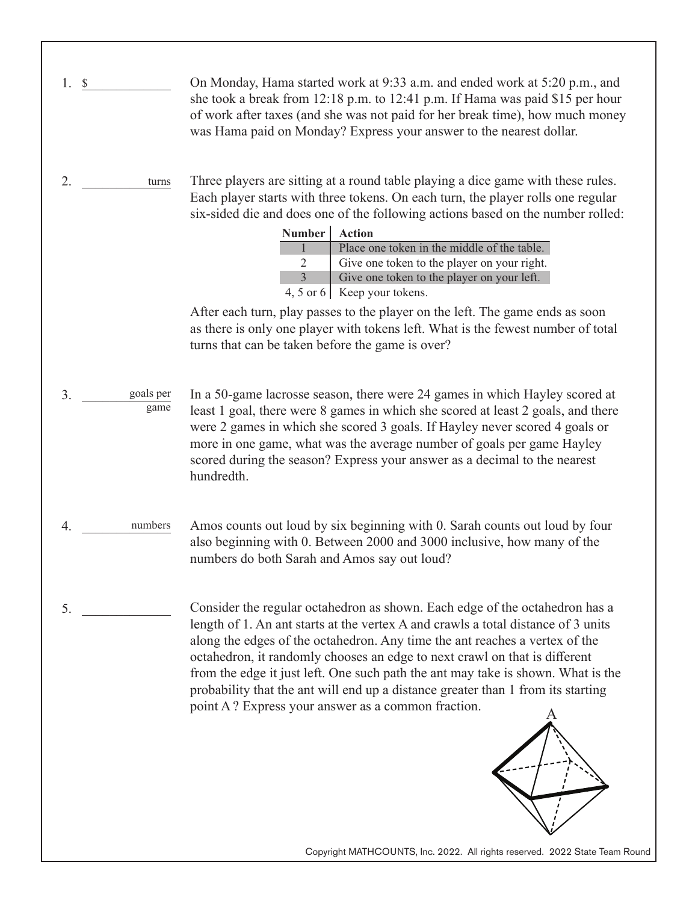Copyright MATHCOUNTS, Inc. 2022. All rights reserved. 2022 State Team Round 1. \$ 2. \_\_\_\_\_\_\_\_\_\_\_\_\_ turns 3. \_\_\_\_\_\_\_\_\_\_\_\_\_ goals per 4. \_\_\_\_\_\_\_\_\_\_\_\_\_ numbers  $5.$ On Monday, Hama started work at 9:33 a.m. and ended work at 5:20 p.m., and she took a break from 12:18 p.m. to 12:41 p.m. If Hama was paid \$15 per hour of work after taxes (and she was not paid for her break time), how much money was Hama paid on Monday? Express your answer to the nearest dollar. Three players are sitting at a round table playing a dice game with these rules. Each player starts with three tokens. On each turn, the player rolls one regular six-sided die and does one of the following actions based on the number rolled: After each turn, play passes to the player on the left. The game ends as soon as there is only one player with tokens left. What is the fewest number of total turns that can be taken before the game is over? In a 50-game lacrosse season, there were 24 games in which Hayley scored at least 1 goal, there were 8 games in which she scored at least 2 goals, and there were 2 games in which she scored 3 goals. If Hayley never scored 4 goals or more in one game, what was the average number of goals per game Hayley scored during the season? Express your answer as a decimal to the nearest hundredth. Amos counts out loud by six beginning with 0. Sarah counts out loud by four also beginning with 0. Between 2000 and 3000 inclusive, how many of the numbers do both Sarah and Amos say out loud? Consider the regular octahedron as shown. Each edge of the octahedron has a length of 1. An ant starts at the vertex A and crawls a total distance of 3 units along the edges of the octahedron. Any time the ant reaches a vertex of the octahedron, it randomly chooses an edge to next crawl on that is different from the edge it just left. One such path the ant may take is shown. What is the probability that the ant will end up a distance greater than 1 from its starting point A  ? Express your answer as a common fraction. **Number Action** 1  $\mathcal{D}$ 3 4, 5 or 6 Keep your tokens. Place one token in the middle of the table. Give one token to the player on your right. Give one token to the player on your left. game A